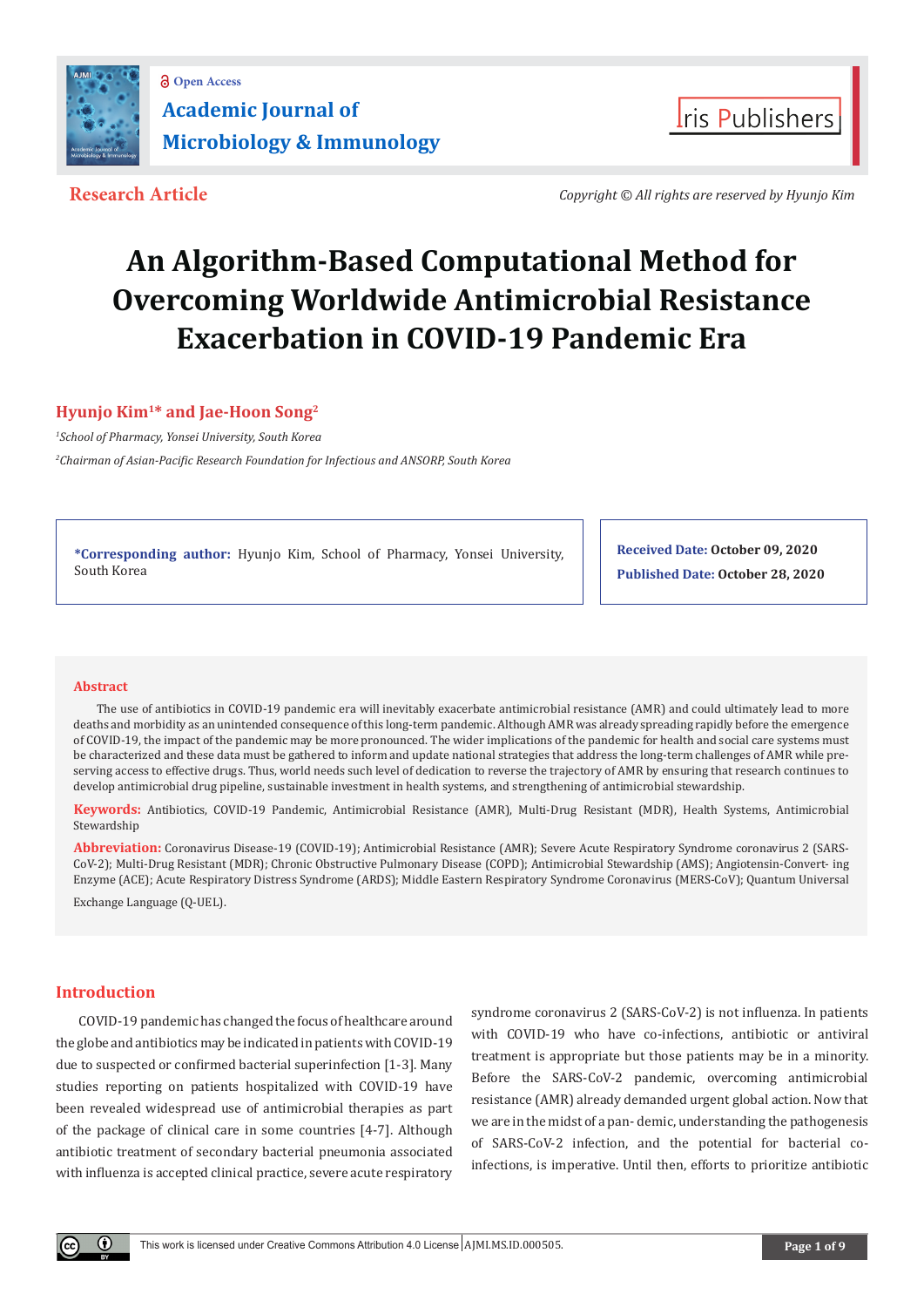



**Research Article** *Copyright © All rights are reserved by Hyunjo Kim*

# **An Algorithm-Based Computational Method for Overcoming Worldwide Antimicrobial Resistance Exacerbation in COVID-19 Pandemic Era**

**Hyunjo Kim1\* and Jae-Hoon Song2**

*1 School of Pharmacy, Yonsei University, South Korea*

*2 Chairman of Asian-Pacific Research Foundation for Infectious and ANSORP, South Korea*

**\*Corresponding author:** Hyunjo Kim, School of Pharmacy, Yonsei University, South Korea

**Received Date: October 09, 2020 Published Date: October 28, 2020**

# **Abstract**

The use of antibiotics in COVID-19 pandemic era will inevitably exacerbate antimicrobial resistance (AMR) and could ultimately lead to more deaths and morbidity as an unintended consequence of this long-term pandemic. Although AMR was already spreading rapidly before the emergence of COVID-19, the impact of the pandemic may be more pronounced. The wider implications of the pandemic for health and social care systems must be characterized and these data must be gathered to inform and update national strategies that address the long-term challenges of AMR while preserving access to effective drugs. Thus, world needs such level of dedication to reverse the trajectory of AMR by ensuring that research continues to develop antimicrobial drug pipeline, sustainable investment in health systems, and strengthening of antimicrobial stewardship.

**Keywords:** Antibiotics, COVID-19 Pandemic, Antimicrobial Resistance (AMR), Multi-Drug Resistant (MDR), Health Systems, Antimicrobial Stewardship

**Abbreviation:** Coronavirus Disease-19 (COVID-19); Antimicrobial Resistance (AMR); Severe Acute Respiratory Syndrome coronavirus 2 (SARS-CoV-2); Multi-Drug Resistant (MDR); Chronic Obstructive Pulmonary Disease (COPD); Antimicrobial Stewardship (AMS); Angiotensin-Convert- ing Enzyme (ACE); Acute Respiratory Distress Syndrome (ARDS); Middle Eastern Respiratory Syndrome Coronavirus (MERS-CoV); Quantum Universal

Exchange Language (Q-UEL).

# **Introduction**

COVID-19 pandemic has changed the focus of healthcare around the globe and antibiotics may be indicated in patients with COVID-19 due to suspected or confirmed bacterial superinfection [1-3]. Many studies reporting on patients hospitalized with COVID-19 have been revealed widespread use of antimicrobial therapies as part of the package of clinical care in some countries [4-7]. Although antibiotic treatment of secondary bacterial pneumonia associated with influenza is accepted clinical practice, severe acute respiratory

syndrome coronavirus 2 (SARS-CoV-2) is not influenza. In patients with COVID-19 who have co-infections, antibiotic or antiviral treatment is appropriate but those patients may be in a minority. Before the SARS-CoV-2 pandemic, overcoming antimicrobial resistance (AMR) already demanded urgent global action. Now that we are in the midst of a pan- demic, understanding the pathogenesis of SARS-CoV-2 infection, and the potential for bacterial coinfections, is imperative. Until then, efforts to prioritize antibiotic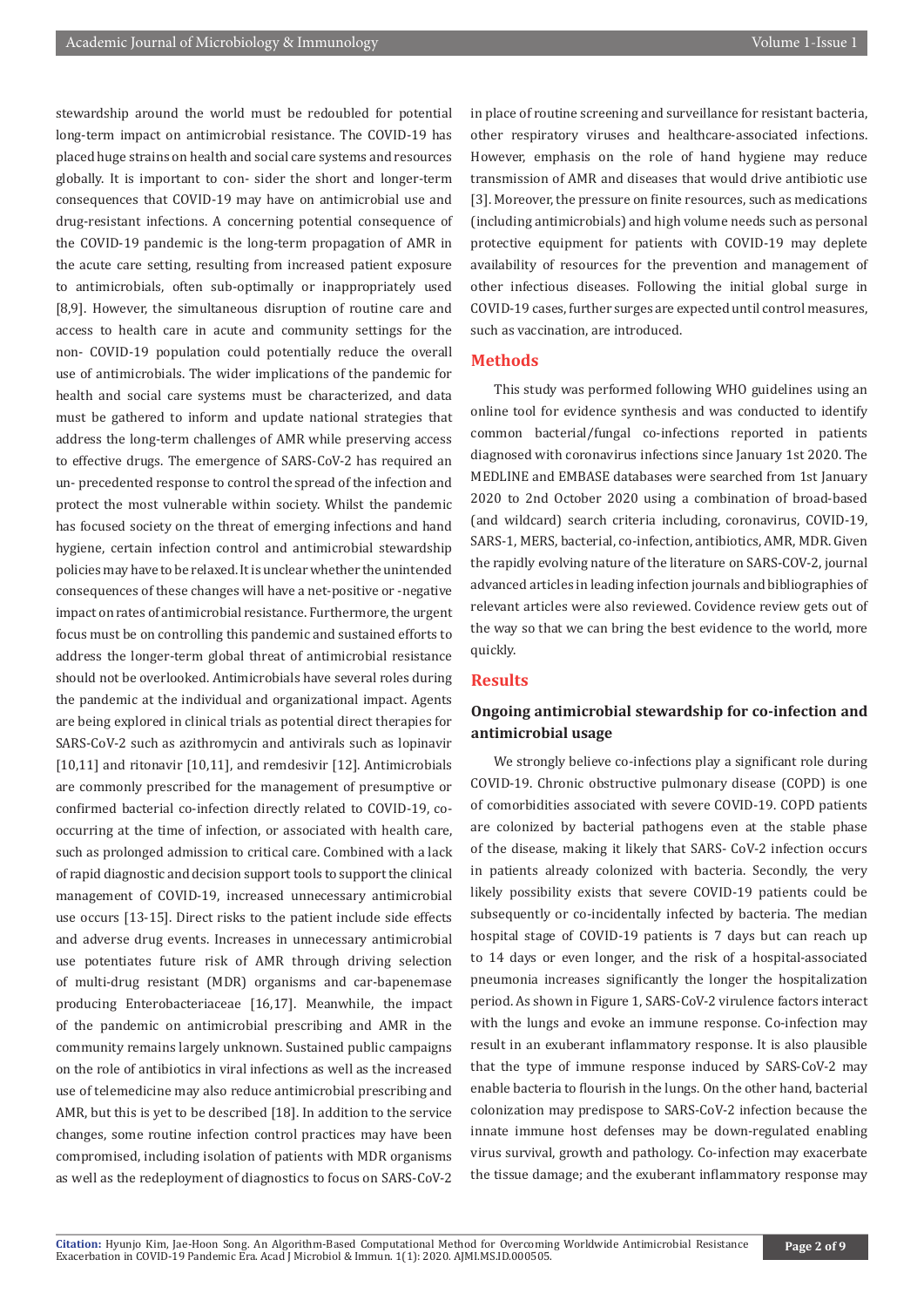stewardship around the world must be redoubled for potential long-term impact on antimicrobial resistance. The COVID-19 has placed huge strains on health and social care systems and resources globally. It is important to con- sider the short and longer-term consequences that COVID-19 may have on antimicrobial use and drug-resistant infections. A concerning potential consequence of the COVID-19 pandemic is the long-term propagation of AMR in the acute care setting, resulting from increased patient exposure to antimicrobials, often sub-optimally or inappropriately used [8,9]. However, the simultaneous disruption of routine care and access to health care in acute and community settings for the non- COVID-19 population could potentially reduce the overall use of antimicrobials. The wider implications of the pandemic for health and social care systems must be characterized, and data must be gathered to inform and update national strategies that address the long-term challenges of AMR while preserving access to effective drugs. The emergence of SARS-CoV-2 has required an un- precedented response to control the spread of the infection and protect the most vulnerable within society. Whilst the pandemic has focused society on the threat of emerging infections and hand hygiene, certain infection control and antimicrobial stewardship policies may have to be relaxed. It is unclear whether the unintended consequences of these changes will have a net-positive or -negative impact on rates of antimicrobial resistance. Furthermore, the urgent focus must be on controlling this pandemic and sustained efforts to address the longer-term global threat of antimicrobial resistance should not be overlooked. Antimicrobials have several roles during the pandemic at the individual and organizational impact. Agents are being explored in clinical trials as potential direct therapies for SARS-CoV-2 such as azithromycin and antivirals such as lopinavir [10,11] and ritonavir [10,11], and remdesivir [12]. Antimicrobials are commonly prescribed for the management of presumptive or confirmed bacterial co-infection directly related to COVID-19, cooccurring at the time of infection, or associated with health care, such as prolonged admission to critical care. Combined with a lack of rapid diagnostic and decision support tools to support the clinical management of COVID-19, increased unnecessary antimicrobial use occurs [13-15]. Direct risks to the patient include side effects and adverse drug events. Increases in unnecessary antimicrobial use potentiates future risk of AMR through driving selection of multi-drug resistant (MDR) organisms and car-bapenemase producing Enterobacteriaceae [16,17]. Meanwhile, the impact of the pandemic on antimicrobial prescribing and AMR in the community remains largely unknown. Sustained public campaigns on the role of antibiotics in viral infections as well as the increased use of telemedicine may also reduce antimicrobial prescribing and AMR, but this is yet to be described [18]. In addition to the service changes, some routine infection control practices may have been compromised, including isolation of patients with MDR organisms as well as the redeployment of diagnostics to focus on SARS-CoV-2

in place of routine screening and surveillance for resistant bacteria, other respiratory viruses and healthcare-associated infections. However, emphasis on the role of hand hygiene may reduce transmission of AMR and diseases that would drive antibiotic use [3]. Moreover, the pressure on finite resources, such as medications (including antimicrobials) and high volume needs such as personal protective equipment for patients with COVID-19 may deplete availability of resources for the prevention and management of other infectious diseases. Following the initial global surge in COVID-19 cases, further surges are expected until control measures, such as vaccination, are introduced.

#### **Methods**

This study was performed following WHO guidelines using an online tool for evidence synthesis and was conducted to identify common bacterial/fungal co-infections reported in patients diagnosed with coronavirus infections since January 1st 2020. The MEDLINE and EMBASE databases were searched from 1st January 2020 to 2nd October 2020 using a combination of broad-based (and wildcard) search criteria including, coronavirus, COVID-19, SARS-1, MERS, bacterial, co-infection, antibiotics, AMR, MDR. Given the rapidly evolving nature of the literature on SARS-COV-2, journal advanced articles in leading infection journals and bibliographies of relevant articles were also reviewed. Covidence review gets out of the way so that we can bring the best evidence to the world, more quickly.

# **Results**

# **Ongoing antimicrobial stewardship for co-infection and antimicrobial usage**

We strongly believe co-infections play a significant role during COVID-19. Chronic obstructive pulmonary disease (COPD) is one of comorbidities associated with severe COVID-19. COPD patients are colonized by bacterial pathogens even at the stable phase of the disease, making it likely that SARS- CoV-2 infection occurs in patients already colonized with bacteria. Secondly, the very likely possibility exists that severe COVID-19 patients could be subsequently or co-incidentally infected by bacteria. The median hospital stage of COVID-19 patients is 7 days but can reach up to 14 days or even longer, and the risk of a hospital-associated pneumonia increases significantly the longer the hospitalization period. As shown in Figure 1, SARS-CoV-2 virulence factors interact with the lungs and evoke an immune response. Co-infection may result in an exuberant inflammatory response. It is also plausible that the type of immune response induced by SARS-CoV-2 may enable bacteria to flourish in the lungs. On the other hand, bacterial colonization may predispose to SARS-CoV-2 infection because the innate immune host defenses may be down-regulated enabling virus survival, growth and pathology. Co-infection may exacerbate the tissue damage; and the exuberant inflammatory response may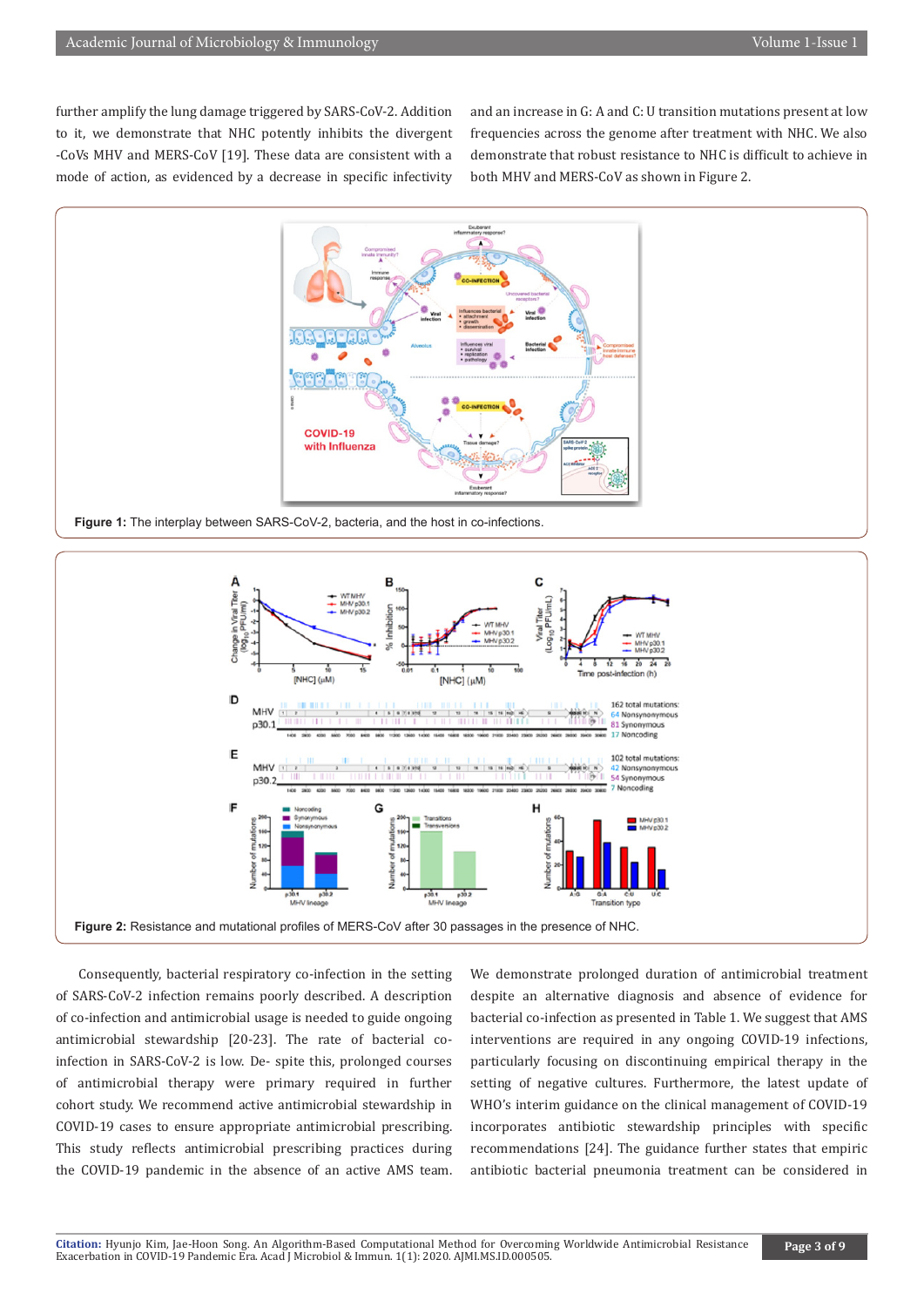further amplify the lung damage triggered by SARS-CoV-2. Addition to it, we demonstrate that NHC potently inhibits the divergent -CoVs MHV and MERS-CoV [19]. These data are consistent with a mode of action, as evidenced by a decrease in specific infectivity and an increase in G: A and C: U transition mutations present at low frequencies across the genome after treatment with NHC. We also demonstrate that robust resistance to NHC is difficult to achieve in both MHV and MERS-CoV as shown in Figure 2.





Consequently, bacterial respiratory co-infection in the setting of SARS-CoV-2 infection remains poorly described. A description of co-infection and antimicrobial usage is needed to guide ongoing antimicrobial stewardship [20-23]. The rate of bacterial coinfection in SARS-CoV-2 is low. De- spite this, prolonged courses of antimicrobial therapy were primary required in further cohort study. We recommend active antimicrobial stewardship in COVID-19 cases to ensure appropriate antimicrobial prescribing. This study reflects antimicrobial prescribing practices during the COVID-19 pandemic in the absence of an active AMS team.

We demonstrate prolonged duration of antimicrobial treatment despite an alternative diagnosis and absence of evidence for bacterial co-infection as presented in Table 1. We suggest that AMS interventions are required in any ongoing COVID-19 infections, particularly focusing on discontinuing empirical therapy in the setting of negative cultures. Furthermore, the latest update of WHO's interim guidance on the clinical management of COVID-19 incorporates antibiotic stewardship principles with specific recommendations [24]. The guidance further states that empiric antibiotic bacterial pneumonia treatment can be considered in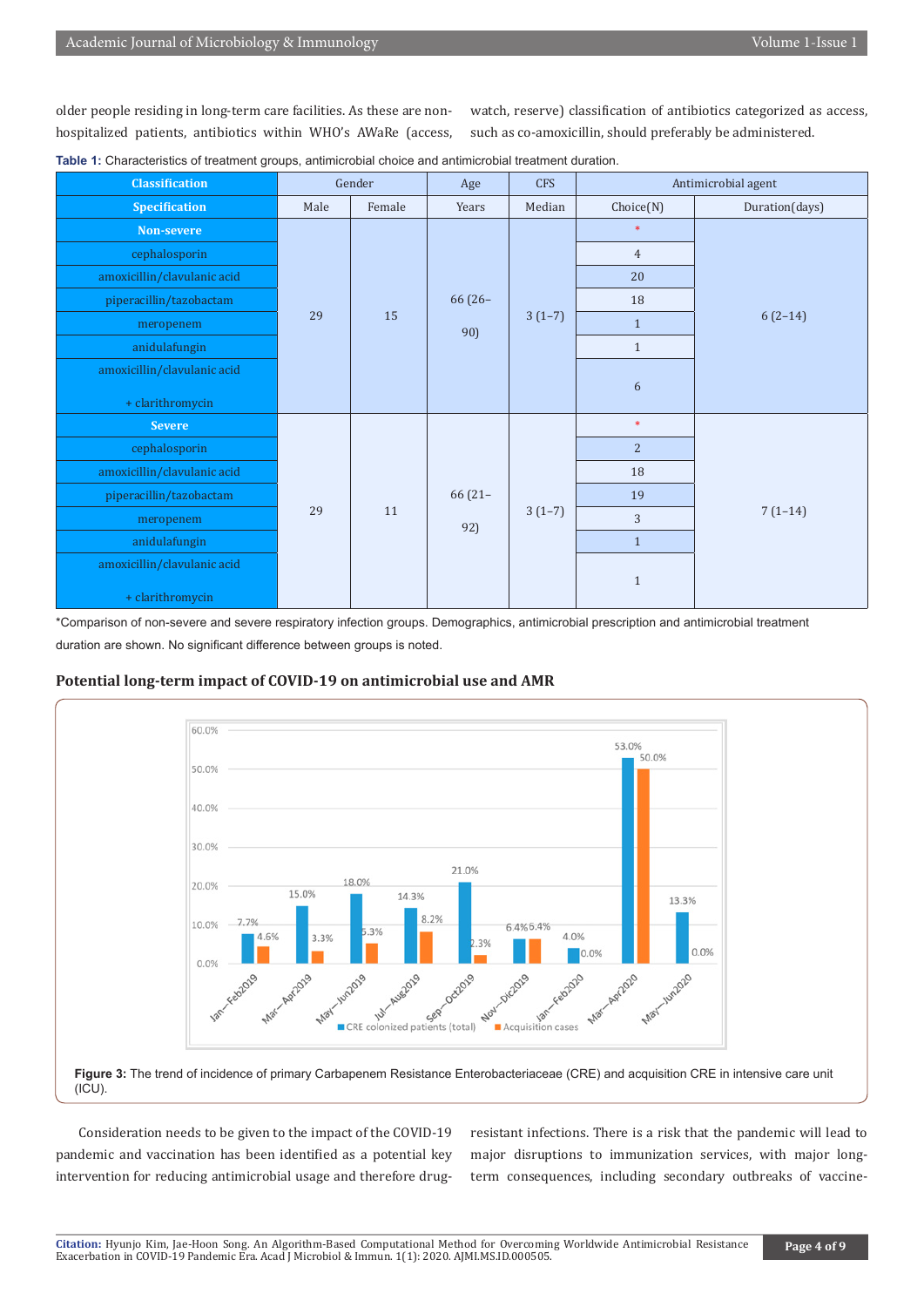older people residing in long-term care facilities. As these are nonhospitalized patients, antibiotics within WHO's AWaRe (access,

watch, reserve) classification of antibiotics categorized as access, such as co-amoxicillin, should preferably be administered.

| <b>Classification</b>       | Gender |        | Age              | <b>CFS</b> | Antimicrobial agent |                |
|-----------------------------|--------|--------|------------------|------------|---------------------|----------------|
| <b>Specification</b>        | Male   | Female | Years            | Median     | Choice(N)           | Duration(days) |
| Non-severe                  | 29     | 15     | 66 (26-<br>90)   | $3(1-7)$   | $\ast$              | $6(2-14)$      |
| cephalosporin               |        |        |                  |            | $\overline{4}$      |                |
| amoxicillin/clavulanic acid |        |        |                  |            | 20                  |                |
| piperacillin/tazobactam     |        |        |                  |            | 18                  |                |
| meropenem                   |        |        |                  |            | $\mathbf{1}$        |                |
| anidulafungin               |        |        |                  |            | $\mathbf{1}$        |                |
| amoxicillin/clavulanic acid |        |        |                  |            |                     |                |
| + clarithromycin            |        |        |                  |            | $\boldsymbol{6}$    |                |
| <b>Severe</b>               | 29     | 11     | $66(21 -$<br>92) | $3(1-7)$   | $\ast$              | $7(1-14)$      |
| cephalosporin               |        |        |                  |            | $\overline{2}$      |                |
| amoxicillin/clavulanic acid |        |        |                  |            | 18                  |                |
| piperacillin/tazobactam     |        |        |                  |            | 19                  |                |
| meropenem                   |        |        |                  |            | 3                   |                |
| anidulafungin               |        |        |                  |            | $1\,$               |                |
| amoxicillin/clavulanic acid |        |        |                  |            |                     |                |
| + clarithromycin            |        |        |                  |            | $\mathbf{1}$        |                |

**Table 1:** Characteristics of treatment groups, antimicrobial choice and antimicrobial treatment duration.

\*Comparison of non-severe and severe respiratory infection groups. Demographics, antimicrobial prescription and antimicrobial treatment duration are shown. No significant difference between groups is noted.

# **Potential long-term impact of COVID-19 on antimicrobial use and AMR**



Consideration needs to be given to the impact of the COVID-19 pandemic and vaccination has been identified as a potential key intervention for reducing antimicrobial usage and therefore drugresistant infections. There is a risk that the pandemic will lead to major disruptions to immunization services, with major longterm consequences, including secondary outbreaks of vaccine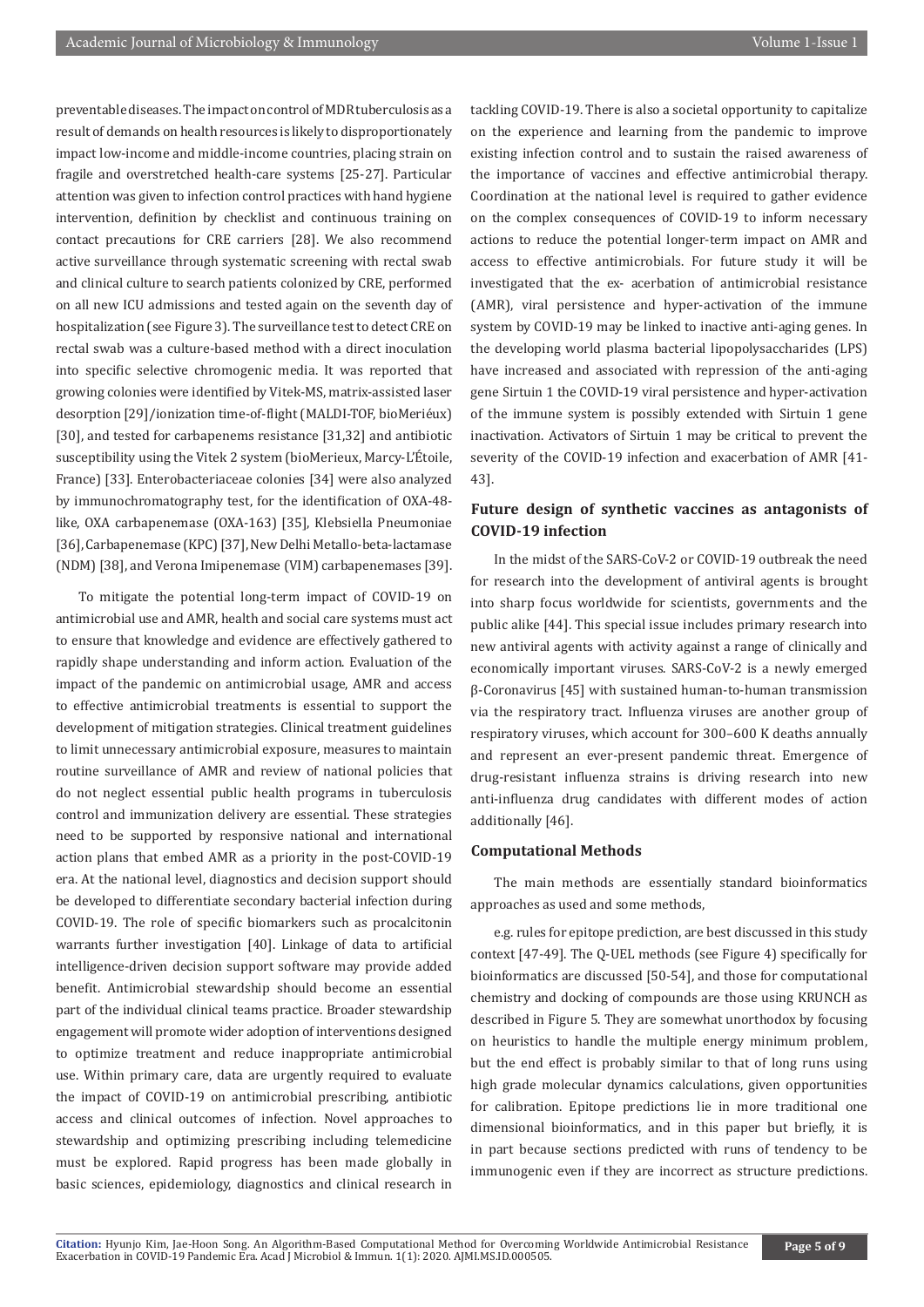preventable diseases. The impact on control of MDR tuberculosis as a result of demands on health resources is likely to disproportionately impact low-income and middle-income countries, placing strain on fragile and overstretched health-care systems [25-27]. Particular attention was given to infection control practices with hand hygiene intervention, definition by checklist and continuous training on contact precautions for CRE carriers [28]. We also recommend active surveillance through systematic screening with rectal swab and clinical culture to search patients colonized by CRE, performed on all new ICU admissions and tested again on the seventh day of hospitalization (see Figure 3). The surveillance test to detect CRE on rectal swab was a culture-based method with a direct inoculation into specific selective chromogenic media. It was reported that growing colonies were identified by Vitek-MS, matrix-assisted laser desorption [29]/ionization time-of-flight (MALDI-TOF, bioMeriéux) [30], and tested for carbapenems resistance [31,32] and antibiotic susceptibility using the Vitek 2 system (bioMerieux, Marcy-L'Étoile, France) [33]. Enterobacteriaceae colonies [34] were also analyzed by immunochromatography test, for the identification of OXA-48 like, OXA carbapenemase (OXA-163) [35], Klebsiella Pneumoniae [36], Carbapenemase (KPC) [37], New Delhi Metallo-beta-lactamase (NDM) [38], and Verona Imipenemase (VIM) carbapenemases [39].

To mitigate the potential long-term impact of COVID-19 on antimicrobial use and AMR, health and social care systems must act to ensure that knowledge and evidence are effectively gathered to rapidly shape understanding and inform action. Evaluation of the impact of the pandemic on antimicrobial usage, AMR and access to effective antimicrobial treatments is essential to support the development of mitigation strategies. Clinical treatment guidelines to limit unnecessary antimicrobial exposure, measures to maintain routine surveillance of AMR and review of national policies that do not neglect essential public health programs in tuberculosis control and immunization delivery are essential. These strategies need to be supported by responsive national and international action plans that embed AMR as a priority in the post-COVID-19 era. At the national level, diagnostics and decision support should be developed to differentiate secondary bacterial infection during COVID-19. The role of specific biomarkers such as procalcitonin warrants further investigation [40]. Linkage of data to artificial intelligence-driven decision support software may provide added benefit. Antimicrobial stewardship should become an essential part of the individual clinical teams practice. Broader stewardship engagement will promote wider adoption of interventions designed to optimize treatment and reduce inappropriate antimicrobial use. Within primary care, data are urgently required to evaluate the impact of COVID-19 on antimicrobial prescribing, antibiotic access and clinical outcomes of infection. Novel approaches to stewardship and optimizing prescribing including telemedicine must be explored. Rapid progress has been made globally in basic sciences, epidemiology, diagnostics and clinical research in

tackling COVID-19. There is also a societal opportunity to capitalize on the experience and learning from the pandemic to improve existing infection control and to sustain the raised awareness of the importance of vaccines and effective antimicrobial therapy. Coordination at the national level is required to gather evidence on the complex consequences of COVID-19 to inform necessary actions to reduce the potential longer-term impact on AMR and access to effective antimicrobials. For future study it will be investigated that the ex- acerbation of antimicrobial resistance (AMR), viral persistence and hyper-activation of the immune system by COVID-19 may be linked to inactive anti-aging genes. In the developing world plasma bacterial lipopolysaccharides (LPS) have increased and associated with repression of the anti-aging gene Sirtuin 1 the COVID-19 viral persistence and hyper-activation of the immune system is possibly extended with Sirtuin 1 gene inactivation. Activators of Sirtuin 1 may be critical to prevent the severity of the COVID-19 infection and exacerbation of AMR [41- 43].

# **Future design of synthetic vaccines as antagonists of COVID-19 infection**

In the midst of the SARS-CoV-2 or COVID-19 outbreak the need for research into the development of antiviral agents is brought into sharp focus worldwide for scientists, governments and the public alike [44]. This special issue includes primary research into new antiviral agents with activity against a range of clinically and economically important viruses. SARS-CoV-2 is a newly emerged β-Coronavirus [45] with sustained human-to-human transmission via the respiratory tract. Influenza viruses are another group of respiratory viruses, which account for 300–600 K deaths annually and represent an ever-present pandemic threat. Emergence of drug-resistant influenza strains is driving research into new anti-influenza drug candidates with different modes of action additionally [46].

#### **Computational Methods**

The main methods are essentially standard bioinformatics approaches as used and some methods,

e.g. rules for epitope prediction, are best discussed in this study context [47-49]. The Q-UEL methods (see Figure 4) specifically for bioinformatics are discussed [50-54], and those for computational chemistry and docking of compounds are those using KRUNCH as described in Figure 5. They are somewhat unorthodox by focusing on heuristics to handle the multiple energy minimum problem, but the end effect is probably similar to that of long runs using high grade molecular dynamics calculations, given opportunities for calibration. Epitope predictions lie in more traditional one dimensional bioinformatics, and in this paper but briefly, it is in part because sections predicted with runs of tendency to be immunogenic even if they are incorrect as structure predictions.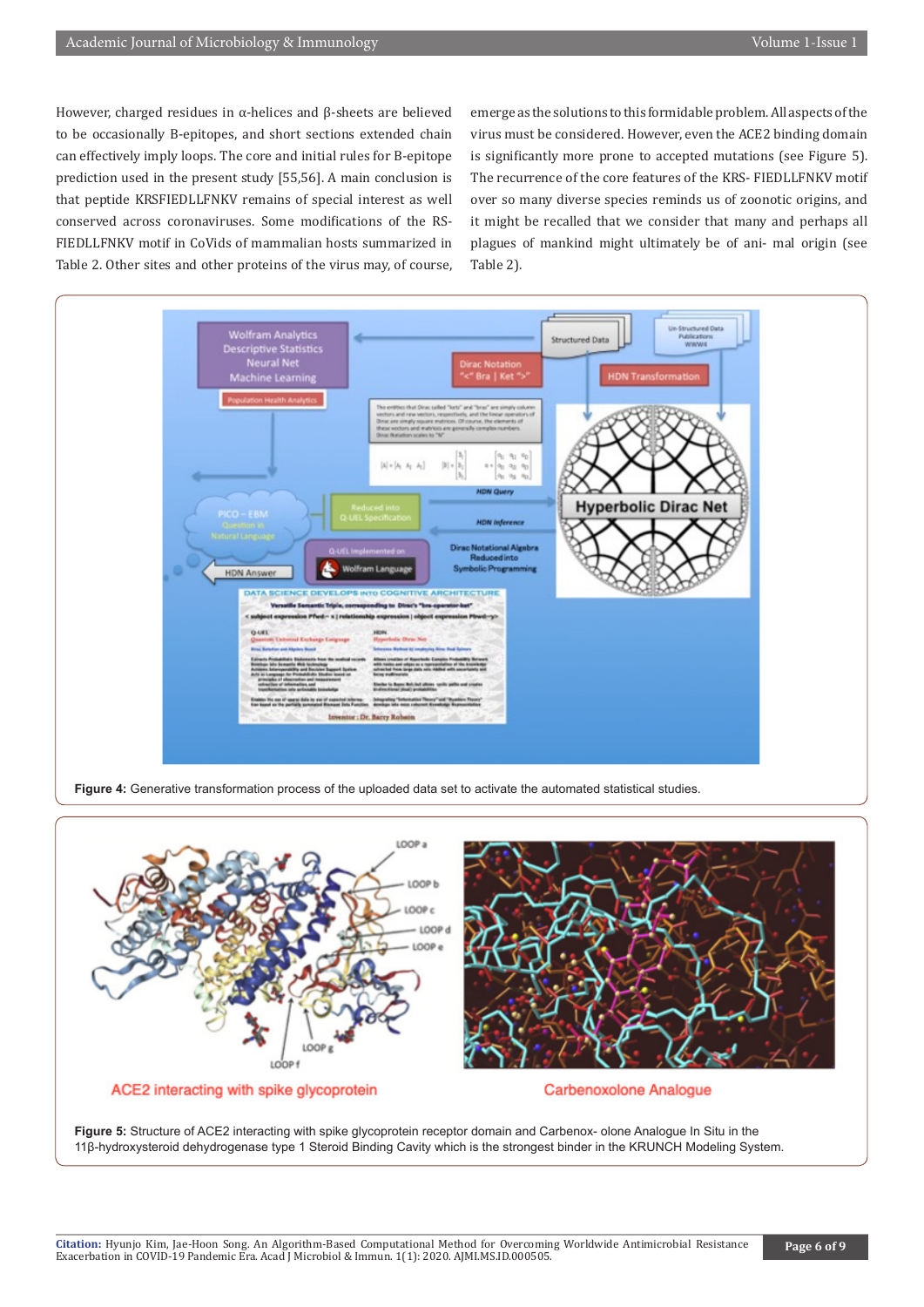However, charged residues in α-helices and β-sheets are believed to be occasionally B-epitopes, and short sections extended chain can effectively imply loops. The core and initial rules for B-epitope prediction used in the present study [55,56]. A main conclusion is that peptide KRSFIEDLLFNKV remains of special interest as well conserved across coronaviruses. Some modifications of the RS-FIEDLLFNKV motif in CoVids of mammalian hosts summarized in Table 2. Other sites and other proteins of the virus may, of course,

emerge as the solutions to this formidable problem. All aspects of the virus must be considered. However, even the ACE2 binding domain is significantly more prone to accepted mutations (see Figure 5). The recurrence of the core features of the KRS- FIEDLLFNKV motif over so many diverse species reminds us of zoonotic origins, and it might be recalled that we consider that many and perhaps all plagues of mankind might ultimately be of ani- mal origin (see Table 2).



**Figure 4:** Generative transformation process of the uploaded data set to activate the automated statistical studies.



ACE2 interacting with spike glycoprotein

**Carbenoxolone Analogue** 

**Figure 5:** Structure of ACE2 interacting with spike glycoprotein receptor domain and Carbenox- olone Analogue In Situ in the 11β-hydroxysteroid dehydrogenase type 1 Steroid Binding Cavity which is the strongest binder in the KRUNCH Modeling System.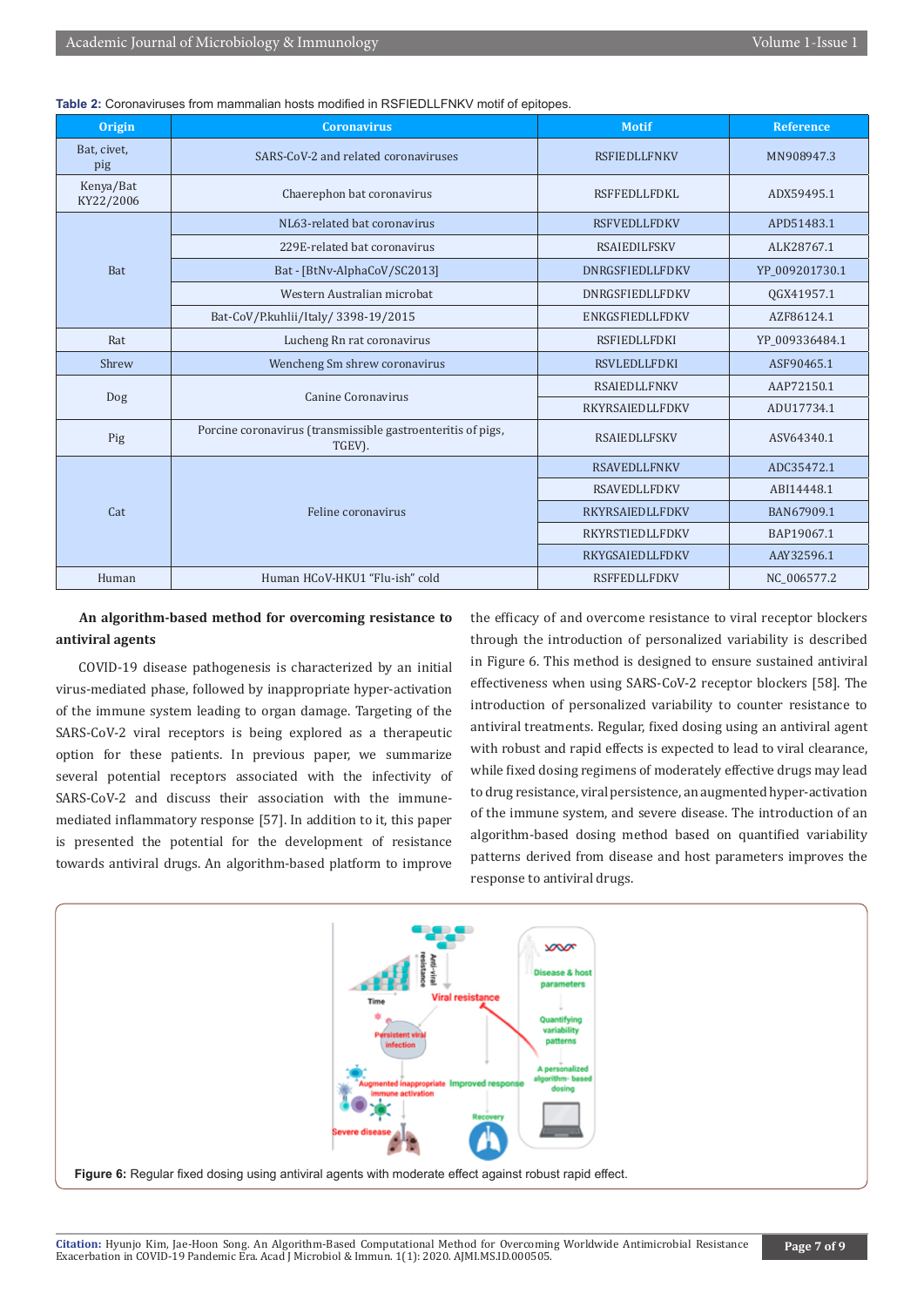| <b>Origin</b>          | <b>Coronavirus</b>                                                    | <b>Motif</b>           | <b>Reference</b> |
|------------------------|-----------------------------------------------------------------------|------------------------|------------------|
| Bat, civet,<br>pig     | SARS-CoV-2 and related coronaviruses                                  | <b>RSFIEDLLFNKV</b>    | MN908947.3       |
| Kenya/Bat<br>KY22/2006 | Chaerephon bat coronavirus                                            | <b>RSFFEDLLFDKL</b>    | ADX59495.1       |
| Bat                    | NL63-related bat coronavirus                                          | <b>RSFVEDLLFDKV</b>    | APD51483.1       |
|                        | 229E-related bat coronavirus                                          | <b>RSAIEDILFSKV</b>    | ALK28767.1       |
|                        | Bat - [BtNv-AlphaCoV/SC2013]                                          | <b>DNRGSFIEDLLFDKV</b> | YP 009201730.1   |
|                        | Western Australian microbat                                           | <b>DNRGSFIEDLLFDKV</b> | OGX41957.1       |
|                        | Bat-CoV/P.kuhlii/Italy/ 3398-19/2015                                  | <b>ENKGSFIEDLLFDKV</b> | AZF86124.1       |
| Rat                    | Lucheng Rn rat coronavirus                                            | <b>RSFIEDLLFDKI</b>    | YP 009336484.1   |
| Shrew                  | Wencheng Sm shrew coronavirus                                         | <b>RSVLEDLLFDKI</b>    | ASF90465.1       |
| Dog                    | Canine Coronavirus                                                    | <b>RSAIEDLLFNKV</b>    | AAP72150.1       |
|                        |                                                                       | RKYRSAIEDLLFDKV        | ADU17734.1       |
| Pig                    | Porcine coronavirus (transmissible gastroenteritis of pigs,<br>TGEV). | <b>RSAIEDLLFSKV</b>    | ASV64340.1       |
| Cat                    |                                                                       | <b>RSAVEDLLFNKV</b>    | ADC35472.1       |
|                        |                                                                       | <b>RSAVEDLLFDKV</b>    | ABI14448.1       |
|                        | Feline coronavirus                                                    | <b>RKYRSAIEDLLFDKV</b> | BAN67909.1       |
|                        |                                                                       | <b>RKYRSTIEDLLFDKV</b> | BAP19067.1       |
|                        |                                                                       | RKYGSAIEDLLFDKV        | AAY32596.1       |
| Human                  | Human HCoV-HKU1 "Flu-ish" cold                                        | <b>RSFFEDLLFDKV</b>    | NC 006577.2      |

**Table 2:** Coronaviruses from mammalian hosts modified in RSFIEDLLFNKV motif of epitopes.

# **An algorithm-based method for overcoming resistance to antiviral agents**

COVID-19 disease pathogenesis is characterized by an initial virus-mediated phase, followed by inappropriate hyper-activation of the immune system leading to organ damage. Targeting of the SARS-CoV-2 viral receptors is being explored as a therapeutic option for these patients. In previous paper, we summarize several potential receptors associated with the infectivity of SARS-CoV-2 and discuss their association with the immunemediated inflammatory response [57]. In addition to it, this paper is presented the potential for the development of resistance towards antiviral drugs. An algorithm-based platform to improve

the efficacy of and overcome resistance to viral receptor blockers through the introduction of personalized variability is described in Figure 6. This method is designed to ensure sustained antiviral effectiveness when using SARS-CoV-2 receptor blockers [58]. The introduction of personalized variability to counter resistance to antiviral treatments. Regular, fixed dosing using an antiviral agent with robust and rapid effects is expected to lead to viral clearance, while fixed dosing regimens of moderately effective drugs may lead to drug resistance, viral persistence, an augmented hyper-activation of the immune system, and severe disease. The introduction of an algorithm-based dosing method based on quantified variability patterns derived from disease and host parameters improves the response to antiviral drugs.

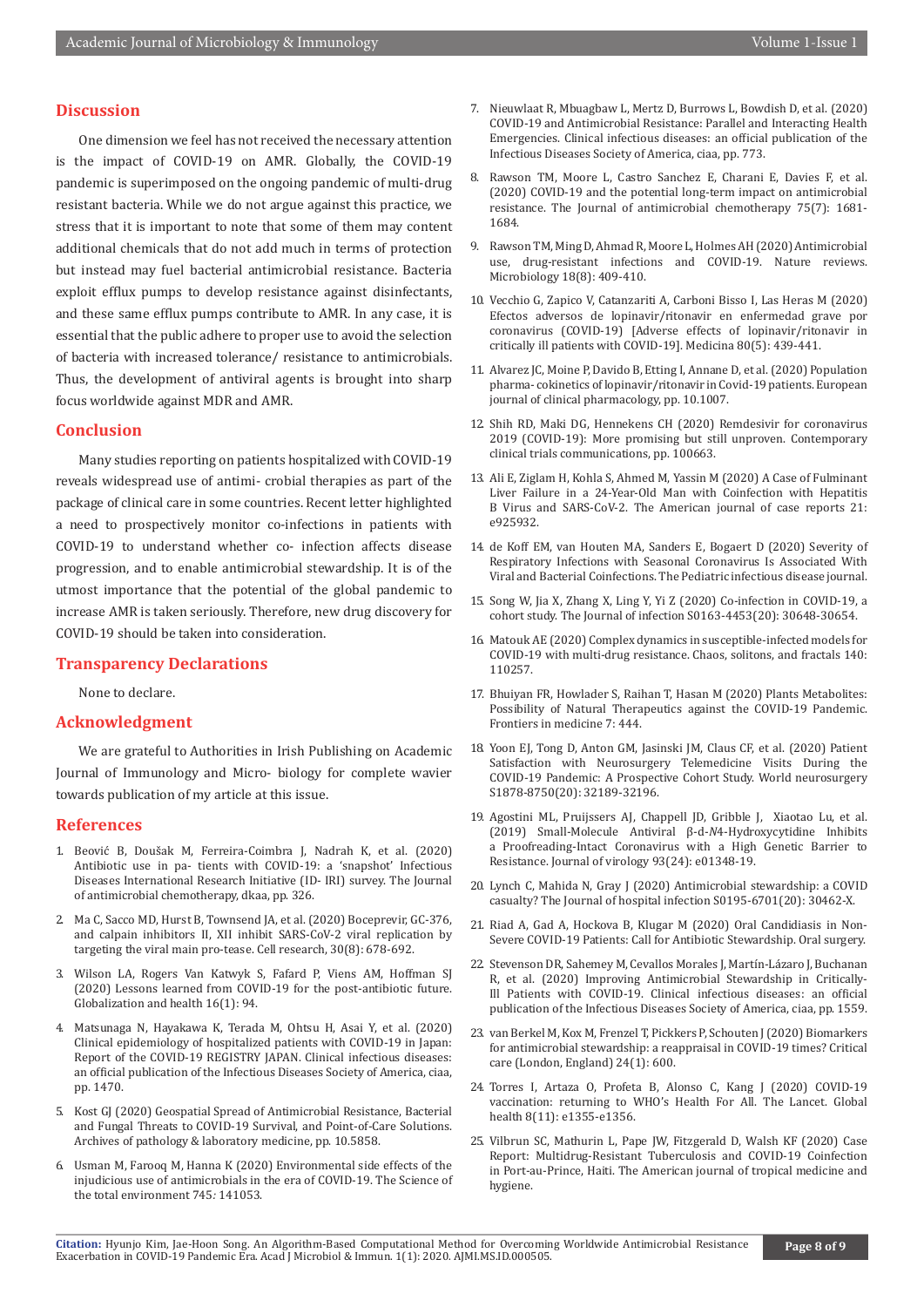# **Discussion**

One dimension we feel has not received the necessary attention is the impact of COVID-19 on AMR. Globally, the COVID-19 pandemic is superimposed on the ongoing pandemic of multi-drug resistant bacteria. While we do not argue against this practice, we stress that it is important to note that some of them may content additional chemicals that do not add much in terms of protection but instead may fuel bacterial antimicrobial resistance. Bacteria exploit efflux pumps to develop resistance against disinfectants, and these same efflux pumps contribute to AMR. In any case, it is essential that the public adhere to proper use to avoid the selection of bacteria with increased tolerance/ resistance to antimicrobials. Thus, the development of antiviral agents is brought into sharp focus worldwide against MDR and AMR.

# **Conclusion**

Many studies reporting on patients hospitalized with COVID-19 reveals widespread use of antimi- crobial therapies as part of the package of clinical care in some countries. Recent letter highlighted a need to prospectively monitor co-infections in patients with COVID-19 to understand whether co- infection affects disease progression, and to enable antimicrobial stewardship. It is of the utmost importance that the potential of the global pandemic to increase AMR is taken seriously. Therefore, new drug discovery for COVID-19 should be taken into consideration.

#### **Transparency Declarations**

None to declare.

# **Acknowledgment**

We are grateful to Authorities in Irish Publishing on Academic Journal of Immunology and Micro- biology for complete wavier towards publication of my article at this issue.

#### **References**

- 1. Beović B, Doušak M, Ferreira-Coimbra J, Nadrah K, et al. (2020) Antibiotic use in pa- tients with COVID-19: a 'snapshot' Infectious Diseases International Research Initiative (ID- IRI) survey. The Journal of antimicrobial chemotherapy, dkaa, pp. 326.
- 2. [Ma C, Sacco MD, Hurst B, Townsend JA, et al. \(2020\) Boceprevir, GC-376,](https://pubmed.ncbi.nlm.nih.gov/32541865)  and cal[pain inhibitors II, XII inhibit SARS-CoV-2](https://pubmed.ncbi.nlm.nih.gov/32541865) viral replication by targeting the viral main pro-[tease. Cell research, 30\(8\): 678-692.](https://pubmed.ncbi.nlm.nih.gov/32541865)
- 3. Wilson LA, Rogers Van Katwyk S, Fafard P, Viens AM, Hoffman SJ (2020) Lessons learned from COVID-19 for the post-antibiotic future. Globalization and health 16(1): 94.
- 4. Matsunaga N, Hayakawa K, Terada [M, Ohtsu H, Asai Y, et al. \(2020\)](https://pubmed.ncbi.nlm.nih.gov/32986793)  Clinical epidemio[logy of hospitalized patients with COVID-19 in Japan:](https://pubmed.ncbi.nlm.nih.gov/32986793)  [Report of the COVID-19 REGISTRY JAPAN. Clinical infectious diseases:](https://pubmed.ncbi.nlm.nih.gov/32986793)  [an official publication of the Infectious Diseases Society of America, ciaa,](https://pubmed.ncbi.nlm.nih.gov/32986793)  [pp. 1470.](https://pubmed.ncbi.nlm.nih.gov/32986793)
- 5. [Kost GJ \(2020\) Geospatial Spread of Antimicrobial Resistance, Bacterial](https://www.ncbi.nlm.nih.gov/research/coronavirus/publication/32886738)  [and Fungal Threats to COVID-19 Survival, and Point-of-Care Solutions.](https://www.ncbi.nlm.nih.gov/research/coronavirus/publication/32886738)  [Archives of pathology & laboratory](https://www.ncbi.nlm.nih.gov/research/coronavirus/publication/32886738) medicine, pp. 10.5858.
- 6. Usman M, Farooq M, Hanna K (2020) Environmental side effects of the injudicious use of antimicrobials in the era of COVID-19. The Science of the total environment 745*:* 141053.
- 7. Nieuwlaat R, Mbuagbaw L, Mertz D, Burrows L, Bowdish D, et al. (2020) COVID-19 and Antimicrobial Resistance: Parallel and Interacting Health Emergencies. Clinical infectious diseases: an official publication of the Infectious Diseases Society of America, ciaa, pp. 773.
- 8. Rawson T[M, Moore L, Castro Sanchez E, Charani E, Davies F, et al.](https://pubmed.ncbi.nlm.nih.gov/32433765) [\(2020\) COVID-19 and the potential long-term impact on antimicrobial](https://pubmed.ncbi.nlm.nih.gov/32433765) [resistance. The Journal of antimicrobial chemotherapy 75\(7\): 1681-](https://pubmed.ncbi.nlm.nih.gov/32433765) [1684.](https://pubmed.ncbi.nlm.nih.gov/32433765)
- 9. Rawson T[M, Ming D, Ahmad R, Moore L, Holmes AH \(2020\) Antimicrobial](https://pubmed.ncbi.nlm.nih.gov/32488173) [use, drug-resistant infections and COVID-19. Nature reviews.](https://pubmed.ncbi.nlm.nih.gov/32488173) [Microbiology 18\(8\): 409-410.](https://pubmed.ncbi.nlm.nih.gov/32488173)
- 10. Vecchio [G, Zapico V, Catanzariti A, Carboni Bisso I, Las Heras M \(2020\)](https://pubmed.ncbi.nlm.nih.gov/33048786) [Efectos adversos de lopinavir/ritonavir en enfermedad grave por](https://pubmed.ncbi.nlm.nih.gov/33048786) [coronavirus \(COVID-19\) \[Adverse effects of lopinavir/ritonavir in](https://pubmed.ncbi.nlm.nih.gov/33048786) [critically ill patients with COVID-19\]. Medicina 80\(5\): 439-441.](https://pubmed.ncbi.nlm.nih.gov/33048786)
- 11. Alvarez JC, Moine P, Davido B, Etting I, Annane D, et al. (2020) Population pharma- cokinetics of lopinavir/ritonavir in Covid-19 patients. European journal of clinical pharmacology, pp. 10.1007.
- 12. [Shih RD, Maki DG, Hennekens CH \(2020\) Remdesivir for coronavirus](https://pubmed.ncbi.nlm.nih.gov/33043163) [2019 \(COVID-19\): More promising but still unproven. Contemporary](https://pubmed.ncbi.nlm.nih.gov/33043163) [clinical trials communications, pp. 100663.](https://pubmed.ncbi.nlm.nih.gov/33043163)
- 13. Ali E, Ziglam H, Kohla S, Ahmed M, Yassin M (2020) A Case of Fulminant Liver Failure in a 24-Year-Old Man with Coinfection with Hepatitis B Virus and SARS-CoV-2. The American journal of case reports 21: e925932.
- 14. de Koff EM, van Houten MA, Sanders E, Bogaert D (2020) Severity of Respiratory Infections with Seasonal Coronavirus Is Associated With Viral and Bacterial Coinfections. The Pediatric infectious disease journal.
- 15. Song W, Jia X, Zhang X, Ling Y, Yi Z (2020) Co-infection in COVID-19, a cohort study. The Journal of infection S0163-4453(20): 30648-30654.
- 16. [Matouk AE \(2020\) Complex dynamics in susceptible-infected models for](https://www.sciencedirect.com/science/article/pii/S0960077920306536) [COVID-19 with multi-drug resistance. Chaos, solitons, and fractals 140:](https://www.sciencedirect.com/science/article/pii/S0960077920306536) [110257.](https://www.sciencedirect.com/science/article/pii/S0960077920306536)
- 17. Bhuiyan [FR, Howlader S, Raihan T, Hasan M \(2020\) Plants Metabolites:](https://pubmed.ncbi.nlm.nih.gov/32850918) [Possibility of Natural Therapeutics against the COVID-19 Pandemic.](https://pubmed.ncbi.nlm.nih.gov/32850918) [Frontiers in medicine 7: 444.](https://pubmed.ncbi.nlm.nih.gov/32850918)
- 18. Yoon EJ, Tong [D, Anton GM, Jasinski JM, Claus CF, et al. \(2020\) Patient](https://pubmed.ncbi.nlm.nih.gov/33045455) [Satisfaction with Neurosurgery Telemedicine](https://pubmed.ncbi.nlm.nih.gov/33045455) Visits During the [COVID-19 Pandemic: A Prospective Cohort Study. World](https://pubmed.ncbi.nlm.nih.gov/33045455) neurosurgery [S1878-8750\(20\): 32189-32196.](https://pubmed.ncbi.nlm.nih.gov/33045455)
- 19. [Agostini ML, Pruijssers AJ, Chappell JD, Gribble J, Xiaotao Lu, et al.](https://pubmed.ncbi.nlm.nih.gov/31578288) [\(2019\) Small-Molecule An](https://pubmed.ncbi.nlm.nih.gov/31578288)tiviral β-d-*N*4-Hydroxycytidine Inhibits [a Proofreading-Intact Coronavirus with a High Genetic Barrier to](https://pubmed.ncbi.nlm.nih.gov/31578288) [Resistance. Journal of virology 93\(24\): e01348-19.](https://pubmed.ncbi.nlm.nih.gov/31578288)
- 20. Lynch [C, Mahida N, Gray J \(2020\) Antimicrobial stewardship: a COVID](https://pubmed.ncbi.nlm.nih.gov/33045312) [casualty? The Journal of hospital infection S0195-6701\(20\): 30462-X.](https://pubmed.ncbi.nlm.nih.gov/33045312)
- 21. [Riad A, Gad A, Hockova B, Klugar M \(2020\) Oral Candidiasis in Non-](https://pubmed.ncbi.nlm.nih.gov/33042219)[Severe COVID-19 Patients: Call for Antibiotic Stewardship. Oral surgery.](https://pubmed.ncbi.nlm.nih.gov/33042219)
- 22. Stevenson DR, Sahemey M, Cevallos Morales J, Martín-Lázaro J, Buchanan R, et al. (2020) Improving Antimicrobial Stewardship in Critically-Ill Patients with COVID-19. Clinical infectious diseases: an official publication of the Infectious Diseases Society of America, ciaa, pp. 1559.
- 23. van Berkel M, Kox M, Frenzel T, Pickkers P, Schouten J (2020) Biomarkers for antimicrobial stewardship: a reappraisal in COVID-19 times? Critical care (London, England) 24(1): 600.
- 24. Torres [I, Artaza O, Profeta B, Alonso C, Kang J \(2020\) COVID-19](https://pubmed.ncbi.nlm.nih.gov/32986981) vaccination: re[turning to WHO's Health For All. The Lancet. Global](https://pubmed.ncbi.nlm.nih.gov/32986981) [health 8\(11\): e1355-e1356.](https://pubmed.ncbi.nlm.nih.gov/32986981)
- 25. Vilbrun SC, Mathurin L, Pape JW, Fitzgerald D, Walsh KF (2020) Case Report: Multidrug-Resistant Tuberculosis and COVID-19 Coinfection in Port-au-Prince, Haiti. The American journal of tropical medicine and hygiene.